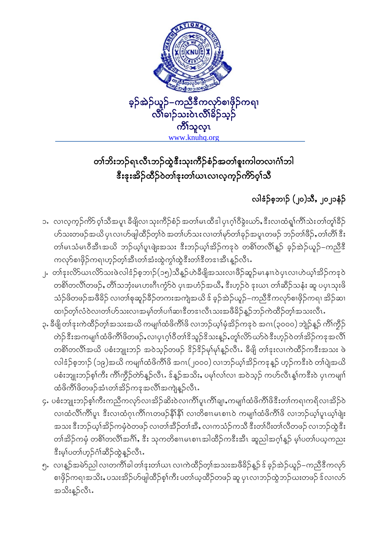

## တၢ်ဘိးဘဉ်ရၤလီၤဘဉ်ထွဲဒီးသုးကိဉ်စံဉ်အတၢ်စူးကါတလၢငံ္ဂါဘါ <u> ဒီးဒုးအိ</u>ဉ်ထိဉ်ဝဲတၢ်ဒုးတ၊်ယၤလၢလူကူဉ်ကိ9်ဝ့ၢ်သိ

## လါဒံဉ်စ့ဘၢဉ် (၂၀)သီႇ ၂၀၂၁နံဉ်

- ၁.လၢလ့က္ဉ်ကိာ် ဝ့ၢ်သိအပူၤ ခီဖျိလၢ သုးကိဉ်စံဉ် အတၢ်မၤထိဒါ ပှၤဂ္ဂၢ်ဝိခွဲးယာ်,ဒီးလၢထံရူ၊်ကိၢ်သဲးတၢ်တူ၊်ခိဉ် ဟ်သးတဖဉ်အယိ ပုၤလၢဟ်ဖျါထိဉ်တ့ၢ်ဝဲ အတၢ်ဟ်သး လၢတၢ်မှာ်တၢ်ခုဉ်အပူၤတဖဉ် ဘဉ်တၢ်ဖိဉ်ႇတၢ်တိၢ် ဒီး တါမၤသံမၤဝီအီၤအယိ ဘဉ်ယ့ၢ်ပူၤဖျံးအသး ဒီးဘဉ်ယ့ၢ်အိဉ်ကဒုဝဲ တစိၢ်တလိၢိန္ဉ် ခ့ဉ်အဲဉ်ယူဉ်–ကညီဒီ ကလုာ်စၢဖိုဉ်ကရၢဟုဉ်တ္၊်အီၤတ၊်အံးထွဲက္၊်ထွဲဒီးတ၊်ဒီတဒၢအီၤနဉ်လီၤ
- ၂. တၢ်ံနးလိ5်ယၤလိ5်သးဖဲလါဒံဉ်စ့ဘၢဉ်(၁၅)သီန္ဉာ်ဟဲခီဖျိအသးလၢဖိဉ်ဆူဉ်မၤနၢၤ၀ဲပုၤလၢဟဲဃ့ၢ်အိဉ်ကဒု၀ဲ တစိၢ်တလိၢ်တဖဉ်, တိၢ်သဘုံးမၤပားဂိၤကွဲာ်ဝဲ ပုၤအဟံဉ်အယီ, ဒီးဟူဉ်ဝဲ ဒုးယၤ တၢ်ဆိဉ်သနံး ဆူ ပပုၤသုးဖိ သံဉ်ဖိတဖဉ်အဖိခိဉ် လၢတၢ်စုဆူဉ်ခိဉ်တကးအကျဲအယိ ဒ် ခ့ဉ်အဲဉ်ယူဉ်–ကညီဒီကလှာ်စၢဖိုဉ်ကရ၊ အိဉ်ဆ၊ ထၢဉ်တ္၊်လံဝဲလ၊တ၊်ဟ်သးလ၊အမ္)်တ၊်ပၢါဆ၊ဒီတဒ၊လီၤသးအဖီခိဉ်နဉ်ဘဉ်ကဲထိဉ်တ္၊်အသးလီၤ
- ၃. ခီဖျိ တၢ်ဒုးကဲထိဉ်တ့ၢ်အသးအယိ ကမျာၢ်ထံဖိကိၢ်ဖိ လၢဘဉ်ယ့ၢ်မှံအိဉ်ကဒုဝဲ အဂၤ(၃၀၀၀) ဘျဲဉ်နှဉ် ကိၢ်ကွီဉ် တဲဉ်ဒီးအကမျာ်ထံဖိကိ်ာဖိတဖဉ်ႇလၢပှၤဂ့ၢ်ဝီတၢ်ဒိသူဉ်ဒိသးန္ဉ်ာႇတူ၊်လိာ်ယာ်ဝဲဒီးဟုဉ်ဝဲတၢ်အိဉ်ကဒုအလိ၊် တစိၢ်တလိၢ်အယိ ပစံးဘျုးဘဉ် အဝဲသ့ဉ်တဖဉ် <sup>8</sup>ဉ်<sup>8</sup>ဉ်မှ၊်မှ၊်နှဉ်လီၤႉ ခီဖျိ တၢ်ဒုးလၢကဲထိဉ်ကဒီးအသး ဖဲ လါဒံဉ်စ့ဘၢဉ် (၁၉)အယိ ကမျာၤ်ထံဖိကိၢိဖိ အဂၤ(၂၀၀၀) လၢဘဉ်ယ့ၢ်အိဉ်ကနနူဉ် ဟူဉ်ကဒီးဝဲ တ၊်ပျဲအယိ ပစံးဘျုးဘဉ်စ့ၢ်ကီး ကိၢ်ကွိဉ်တာ်နှဉ်လီၤႉ ဒ်နှဉ်အသိးႇ ပမှၢ်လၢ်လၢ အဝဲသ့ဉ် ကဟ်လီၤန္၊်ကဒီးဝဲ ပုၤကမျာ၊် ထံဖိကိၢ်ဖိတဖဉ်အံၤတၢ်အိဉ်ကဒုအလိၢ်အကျဲန္**ဉ်**လီၤ.
- ၄. ပစံးဘျုးဘဉ်စ့ၢ်ကီးကညီကလှာ်လၢအိဉ်ဆိးဝဲလ၊ကိၢ်ပူၤကိၢ်ချ၊ႇကမျာၤ်ထံဖိကိၢ်ဖိဒီးတၢ်ကရၢကရိလၢအိဉ်ဝဲ လ၊ထံလိၢ်ကိၢ်ပူ၊ ဒီးလ၊ထံဂုၤကိၢ်ဂၤတဖဉ်နို၊နို၊် လ၊တိစၢၤမၤစၢၤ၀ဲ ကမျာ၊်ထံဖိကိၢ်ဖိ လ၊ဘဉ်ယ့ၢ်ပူ၊ယ့ၢ်ဖျဲး အသး ဒီးဘဉ်ယ့ၢ်အိဉ်ကမုံဝဲတဖဉ် လၢတၢ်အိဉ်တၢ်အိႇ လၢကသံဉ်ကသီ ဒီးတၢ်ပီးတၢ်လိတဖဉ် လၢဘဉ်ထွဲဒီး တၢ်အိဉ်ကမုံ တစိၢ်တလိၢ်အဂိၢ်, ဒီး သုကတိစၢၤမၤစၢၤအါထိဉ်ကဒီးအီၤ ဆူညါအဂ္ဂၢ်န္ဉာ် မ့ၢ်ပတၢ်ပယ္စကညး နီးမ္ပ္ပါပတ္ပ္ပါတ္ပ်ာ့ဂ်ဴ)အိုဥ္ပ်က္ရွိ နည္ပ်က္ရွိ ႏွ
- ၅. လၢန္နာ်အမဲာ်ညါ လၢတက်ိဳၤခါ တၢ်ဒုးတၢ်ယၤ လၢကဲထိဉ်တ္၊်အသးအဖိခိဉ်န္ဉာ် ဒ် ခ့ဉ်အဲဉ်ယူဉ်–ကညီဒီကလုာ် စၢဖိုဉ်ကရၢအသိးႇ ပသးအိဉ်ဟ်ဖျါထိဉ်စ့ၢ်ကီး ပတၢ်ယ့ထိဉ်တဖဉ် ဆူ ပုၤလၢဘဉ်ထွဲဘဉ်ယးတဖဉ် ဒ်လၢလာ် အသိးန္နာ်လီၤ.